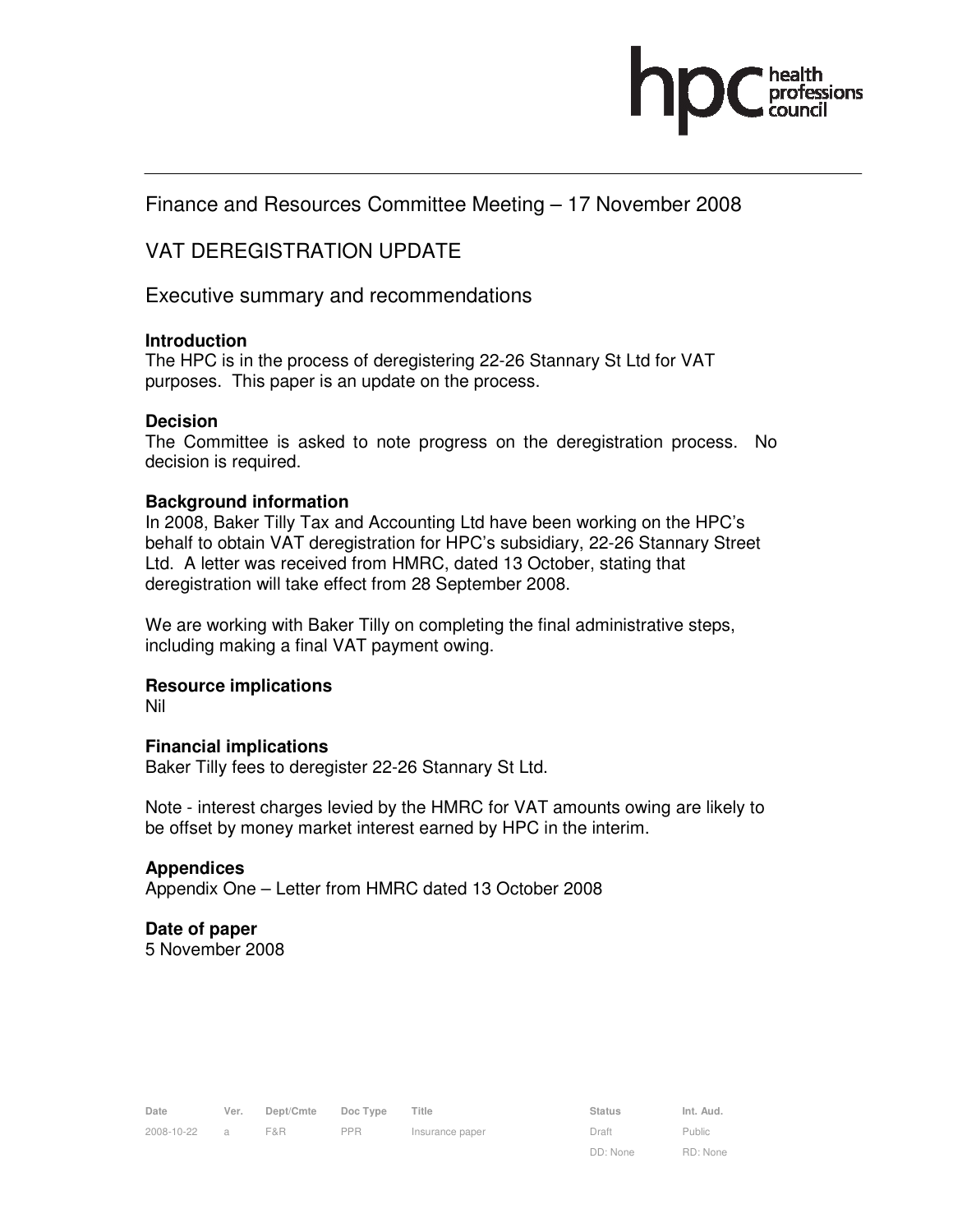

# Finance and Resources Committee Meeting – 17 November 2008

# VAT DEREGISTRATION UPDATE

Executive summary and recommendations

### **Introduction**

The HPC is in the process of deregistering 22-26 Stannary St Ltd for VAT purposes. This paper is an update on the process.

### **Decision**

The Committee is asked to note progress on the deregistration process. No decision is required.

### **Background information**

In 2008, Baker Tilly Tax and Accounting Ltd have been working on the HPC's behalf to obtain VAT deregistration for HPC's subsidiary, 22-26 Stannary Street Ltd. A letter was received from HMRC, dated 13 October, stating that deregistration will take effect from 28 September 2008.

We are working with Baker Tilly on completing the final administrative steps, including making a final VAT payment owing.

# **Resource implications**

Nil

# **Financial implications**

Baker Tilly fees to deregister 22-26 Stannary St Ltd.

Note - interest charges levied by the HMRC for VAT amounts owing are likely to be offset by money market interest earned by HPC in the interim.

#### **Appendices**

Appendix One – Letter from HMRC dated 13 October 2008

# **Date of paper**

5 November 2008

DD: None

Public RD: None